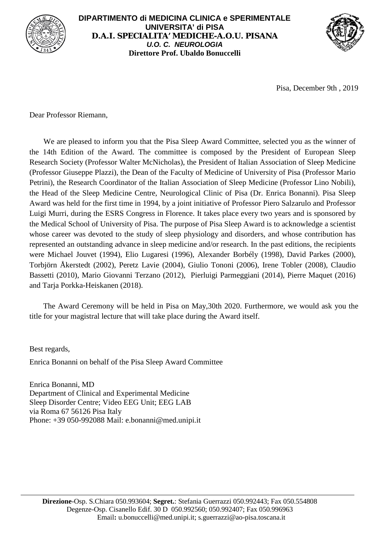

## **DIPARTIMENTO di MEDICINA CLINICA e SPERIMENTALE UNIVERSITA' di PISA D.A.I. SPECIALITA' MEDICHE-A.O.U. PISANA** *U.O. C. NEUROLOGIA* **Direttore Prof. Ubaldo Bonuccelli**



Pisa, December 9th , 2019

Dear Professor Riemann,

We are pleased to inform you that the Pisa Sleep Award Committee, selected you as the winner of the 14th Edition of the Award. The committee is composed by the President of European Sleep Research Society (Professor Walter McNicholas), the President of Italian Association of Sleep Medicine (Professor Giuseppe Plazzi), the Dean of the Faculty of Medicine of University of Pisa (Professor Mario Petrini), the Research Coordinator of the Italian Association of Sleep Medicine (Professor Lino Nobili), the Head of the Sleep Medicine Centre, Neurological Clinic of Pisa (Dr. Enrica Bonanni). Pisa Sleep Award was held for the first time in 1994, by a joint initiative of Professor Piero Salzarulo and Professor Luigi Murri, during the ESRS Congress in Florence. It takes place every two years and is sponsored by the Medical School of University of Pisa. The purpose of Pisa Sleep Award is to acknowledge a scientist whose career was devoted to the study of sleep physiology and disorders, and whose contribution has represented an outstanding advance in sleep medicine and/or research. In the past editions, the recipients were Michael Jouvet (1994), Elio Lugaresi (1996), Alexander Borbély (1998), David Parkes (2000), Torbjörn Åkerstedt (2002), Peretz Lavie (2004), Giulio Tononi (2006), Irene Tobler (2008), Claudio Bassetti (2010), Mario Giovanni Terzano (2012), Pierluigi Parmeggiani (2014), Pierre Maquet (2016) and Tarja Porkka-Heiskanen (2018).

The Award Ceremony will be held in Pisa on May,30th 2020. Furthermore, we would ask you the title for your magistral lecture that will take place during the Award itself.

Best regards,

Enrica Bonanni on behalf of the Pisa Sleep Award Committee

Enrica Bonanni, MD Department of Clinical and Experimental Medicine Sleep Disorder Centre; Video EEG Unit; EEG LAB via Roma 67 56126 Pisa Italy Phone: +39 050-992088 Mail: e.bonanni@med.unipi.it